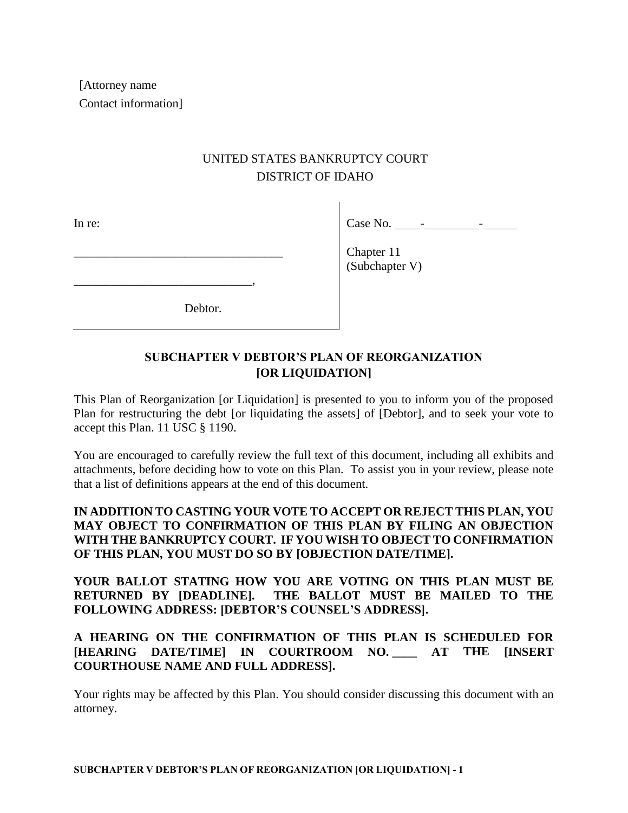[Attorney name Contact information]

# UNITED STATES BANKRUPTCY COURT DISTRICT OF IDAHO

In re:

 $Case No.$   $-$ 

Chapter 11 (Subchapter V)

Debtor.

\_\_\_\_\_\_\_\_\_\_\_\_\_\_\_\_\_\_\_\_\_\_\_\_\_\_\_\_\_\_\_\_\_\_

\_\_\_\_\_\_\_\_\_\_\_\_\_\_\_\_\_\_\_\_\_\_\_\_\_\_\_\_\_,

## **SUBCHAPTER V DEBTOR'S PLAN OF REORGANIZATION [OR LIQUIDATION]**

This Plan of Reorganization [or Liquidation] is presented to you to inform you of the proposed Plan for restructuring the debt [or liquidating the assets] of [Debtor], and to seek your vote to accept this Plan. 11 USC § 1190.

You are encouraged to carefully review the full text of this document, including all exhibits and attachments, before deciding how to vote on this Plan. To assist you in your review, please note that a list of definitions appears at the end of this document.

### **IN ADDITION TO CASTING YOUR VOTE TO ACCEPT OR REJECT THIS PLAN, YOU MAY OBJECT TO CONFIRMATION OF THIS PLAN BY FILING AN OBJECTION WITH THE BANKRUPTCY COURT. IF YOU WISH TO OBJECT TO CONFIRMATION OF THIS PLAN, YOU MUST DO SO BY [OBJECTION DATE/TIME].**

**YOUR BALLOT STATING HOW YOU ARE VOTING ON THIS PLAN MUST BE RETURNED BY [DEADLINE]. THE BALLOT MUST BE MAILED TO THE FOLLOWING ADDRESS: [DEBTOR'S COUNSEL'S ADDRESS].**

## **A HEARING ON THE CONFIRMATION OF THIS PLAN IS SCHEDULED FOR [HEARING DATE/TIME] IN COURTROOM NO. \_\_\_\_ AT THE [INSERT COURTHOUSE NAME AND FULL ADDRESS].**

Your rights may be affected by this Plan. You should consider discussing this document with an attorney.

**SUBCHAPTER V DEBTOR'S PLAN OF REORGANIZATION [OR LIQUIDATION] - 1**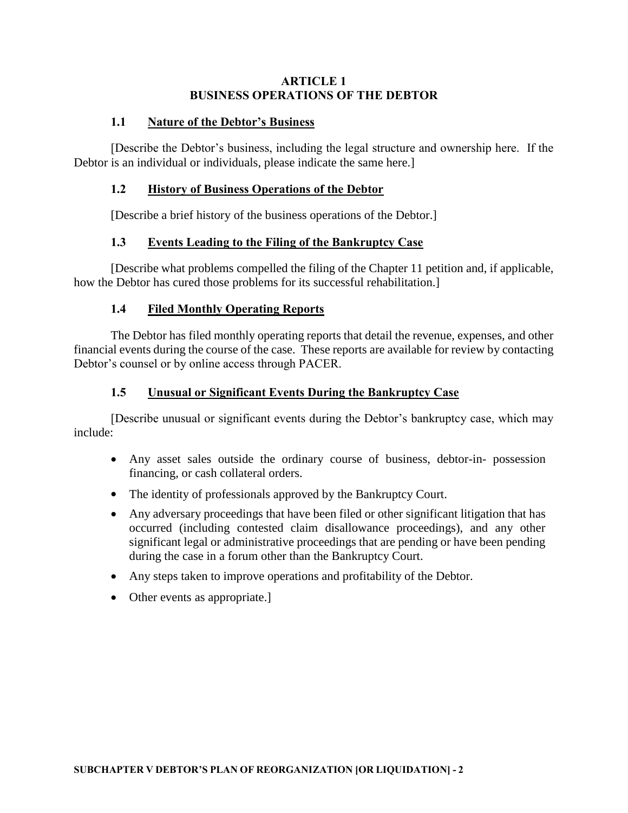#### **ARTICLE 1 BUSINESS OPERATIONS OF THE DEBTOR**

#### **1.1 Nature of the Debtor's Business**

[Describe the Debtor's business, including the legal structure and ownership here. If the Debtor is an individual or individuals, please indicate the same here.]

### **1.2 History of Business Operations of the Debtor**

[Describe a brief history of the business operations of the Debtor.]

### **1.3 Events Leading to the Filing of the Bankruptcy Case**

[Describe what problems compelled the filing of the Chapter 11 petition and, if applicable, how the Debtor has cured those problems for its successful rehabilitation.]

### **1.4 Filed Monthly Operating Reports**

The Debtor has filed monthly operating reports that detail the revenue, expenses, and other financial events during the course of the case. These reports are available for review by contacting Debtor's counsel or by online access through PACER.

### **1.5 Unusual or Significant Events During the Bankruptcy Case**

[Describe unusual or significant events during the Debtor's bankruptcy case, which may include:

- Any asset sales outside the ordinary course of business, debtor-in- possession financing, or cash collateral orders.
- The identity of professionals approved by the Bankruptcy Court.
- Any adversary proceedings that have been filed or other significant litigation that has occurred (including contested claim disallowance proceedings), and any other significant legal or administrative proceedings that are pending or have been pending during the case in a forum other than the Bankruptcy Court.
- Any steps taken to improve operations and profitability of the Debtor.
- Other events as appropriate.]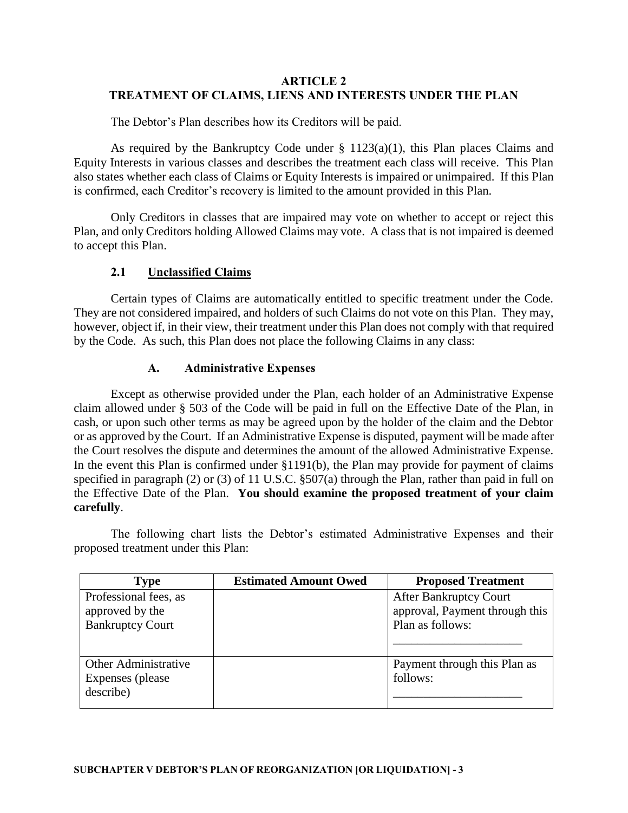#### **ARTICLE 2 TREATMENT OF CLAIMS, LIENS AND INTERESTS UNDER THE PLAN**

The Debtor's Plan describes how its Creditors will be paid.

As required by the Bankruptcy Code under  $\S$  1123(a)(1), this Plan places Claims and Equity Interests in various classes and describes the treatment each class will receive. This Plan also states whether each class of Claims or Equity Interests is impaired or unimpaired. If this Plan is confirmed, each Creditor's recovery is limited to the amount provided in this Plan.

Only Creditors in classes that are impaired may vote on whether to accept or reject this Plan, and only Creditors holding Allowed Claims may vote. A class that is not impaired is deemed to accept this Plan.

### **2.1 Unclassified Claims**

Certain types of Claims are automatically entitled to specific treatment under the Code. They are not considered impaired, and holders of such Claims do not vote on this Plan. They may, however, object if, in their view, their treatment under this Plan does not comply with that required by the Code. As such, this Plan does not place the following Claims in any class:

### **A. Administrative Expenses**

Except as otherwise provided under the Plan, each holder of an Administrative Expense claim allowed under § 503 of the Code will be paid in full on the Effective Date of the Plan, in cash, or upon such other terms as may be agreed upon by the holder of the claim and the Debtor or as approved by the Court. If an Administrative Expense is disputed, payment will be made after the Court resolves the dispute and determines the amount of the allowed Administrative Expense. In the event this Plan is confirmed under §1191(b), the Plan may provide for payment of claims specified in paragraph (2) or (3) of 11 U.S.C. §507(a) through the Plan, rather than paid in full on the Effective Date of the Plan. **You should examine the proposed treatment of your claim carefully**.

The following chart lists the Debtor's estimated Administrative Expenses and their proposed treatment under this Plan:

| <b>Type</b>                                                         | <b>Estimated Amount Owed</b> | <b>Proposed Treatment</b>                                                           |
|---------------------------------------------------------------------|------------------------------|-------------------------------------------------------------------------------------|
| Professional fees, as<br>approved by the<br><b>Bankruptcy Court</b> |                              | <b>After Bankruptcy Court</b><br>approval, Payment through this<br>Plan as follows: |
| Other Administrative<br>Expenses (please)<br>describe)              |                              | Payment through this Plan as<br>follows:                                            |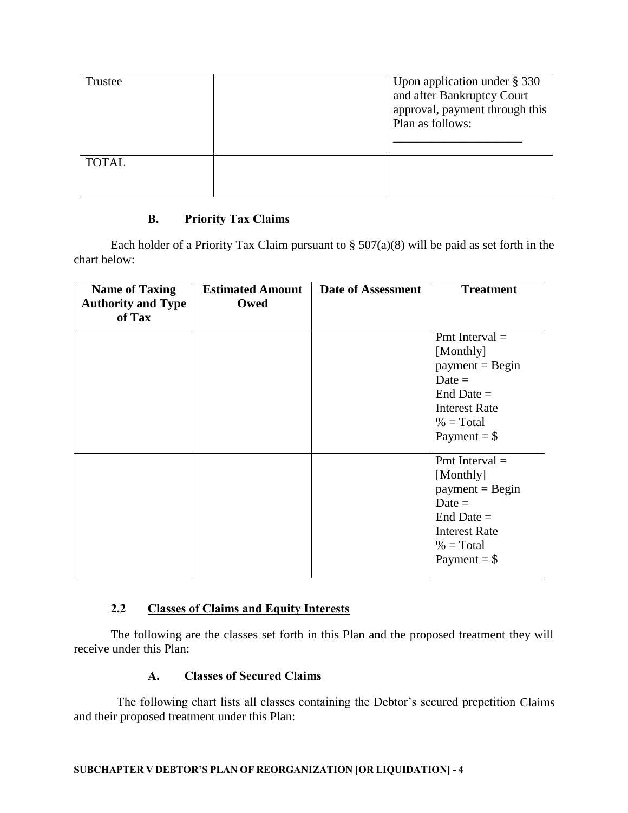| Trustee      | Upon application under $\S 330$<br>and after Bankruptcy Court<br>approval, payment through this<br>Plan as follows: |
|--------------|---------------------------------------------------------------------------------------------------------------------|
| <b>TOTAL</b> |                                                                                                                     |

### **B. Priority Tax Claims**

Each holder of a Priority Tax Claim pursuant to  $\S 507(a)(8)$  will be paid as set forth in the chart below:

| <b>Name of Taxing</b><br><b>Authority and Type</b><br>of Tax | <b>Estimated Amount</b><br>Owed | <b>Date of Assessment</b> | <b>Treatment</b>                                                                                                                        |
|--------------------------------------------------------------|---------------------------------|---------------------------|-----------------------------------------------------------------------------------------------------------------------------------------|
|                                                              |                                 |                           | Pmt Interval $=$<br>[Monthly]<br>$payment = Begin$<br>Date $=$<br>End Date $=$<br><b>Interest Rate</b><br>$%$ = Total<br>Payment = $$$  |
|                                                              |                                 |                           | Pmt Interval $=$<br>[Monthly]<br>$payment = Begin$<br>Date $=$<br>End Date $=$<br><b>Interest Rate</b><br>$%$ = Total<br>Payment $=$ \$ |

### **2.2 Classes of Claims and Equity Interests**

The following are the classes set forth in this Plan and the proposed treatment they will receive under this Plan:

### **A. Classes of Secured Claims**

The following chart lists all classes containing the Debtor's secured prepetition Claims and their proposed treatment under this Plan: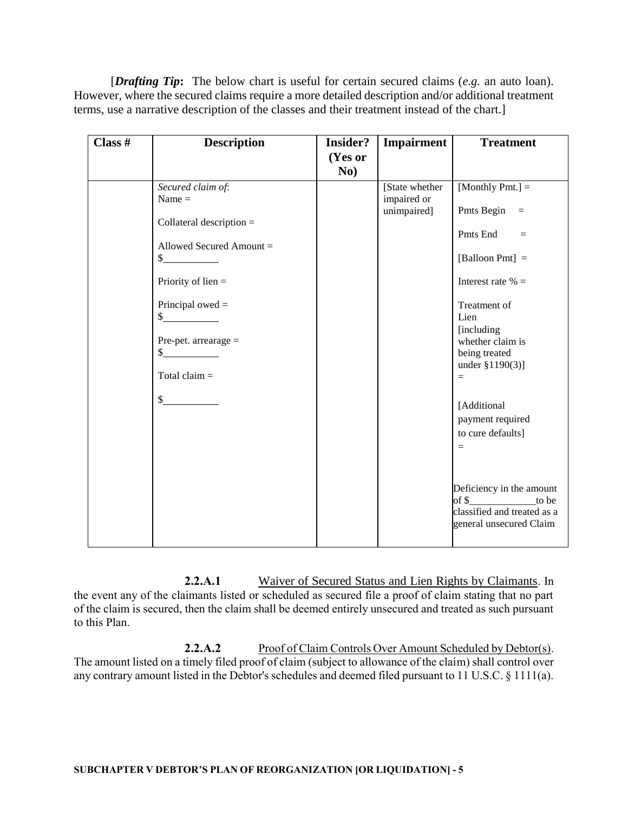[*Drafting Tip***:** The below chart is useful for certain secured claims (*e.g.* an auto loan). However, where the secured claims require a more detailed description and/or additional treatment terms, use a narrative description of the classes and their treatment instead of the chart.]

| Class $#$ | <b>Description</b>                                                                                                                                                                                                               | <b>Insider?</b> | Impairment                                    | <b>Treatment</b>                                                                                                                                                                                                                                                                                                                                                                                              |
|-----------|----------------------------------------------------------------------------------------------------------------------------------------------------------------------------------------------------------------------------------|-----------------|-----------------------------------------------|---------------------------------------------------------------------------------------------------------------------------------------------------------------------------------------------------------------------------------------------------------------------------------------------------------------------------------------------------------------------------------------------------------------|
|           |                                                                                                                                                                                                                                  | (Yes or<br>No)  |                                               |                                                                                                                                                                                                                                                                                                                                                                                                               |
|           | Secured claim of:<br>Name $=$<br>Collateral description $=$<br>Allowed Secured Amount =<br>$\sim$<br>Priority of $lien =$<br>Principal owed $=$<br>s<br>Pre-pet. arrearage =<br>$\mathbb{S}$<br>Total claim $=$<br>$\frac{1}{2}$ |                 | [State whether]<br>impaired or<br>unimpaired] | [Monthly Pmt.] $=$<br>Pmts Begin<br>$\equiv$<br>Pmts End<br>$\equiv$<br>[Balloon Pmt] =<br>Interest rate $% =$<br>Treatment of<br>Lien<br>[including]<br>whether claim is<br>being treated<br>under $$1190(3)]$<br>$=$<br>[Additional<br>payment required<br>to cure defaults]<br>$\equiv$<br>Deficiency in the amount<br>of $\frac{1}{2}$<br>to be<br>classified and treated as a<br>general unsecured Claim |

**2.2.A.1** Waiver of Secured Status and Lien Rights by Claimants. In the event any of the claimants listed or scheduled as secured file a proof of claim stating that no part of the claim is secured, then the claim shall be deemed entirely unsecured and treated as such pursuant to this Plan.

2.2.A.2 Proof of Claim Controls Over Amount Scheduled by Debtor(s). The amount listed on a timely filed proof of claim (subject to allowance of the claim) shall control over any contrary amount listed in the Debtor's schedules and deemed filed pursuant to 11 U.S.C. § 1111(a).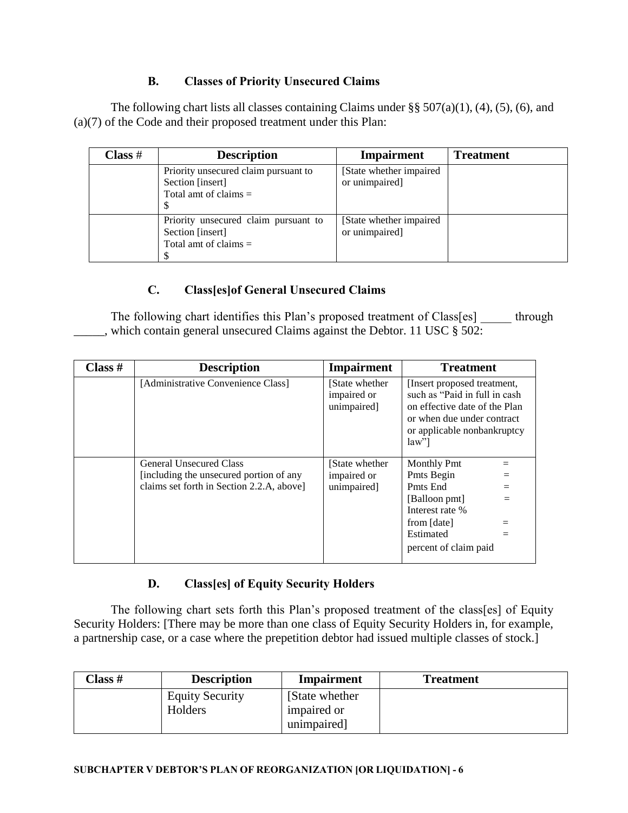## **B. Classes of Priority Unsecured Claims**

The following chart lists all classes containing Claims under  $\S § 507(a)(1)$ , (4), (5), (6), and (a)(7) of the Code and their proposed treatment under this Plan:

| Class # | <b>Description</b>                                                                  | <b>Impairment</b>                          | <b>Treatment</b> |
|---------|-------------------------------------------------------------------------------------|--------------------------------------------|------------------|
|         | Priority unsecured claim pursuant to<br>Section [insert]<br>Total amt of claims $=$ | [State whether impaired]<br>or unimpaired] |                  |
|         | Priority unsecured claim pursuant to<br>Section [insert]<br>Total amt of claims $=$ | [State whether impaired]<br>or unimpaired] |                  |

## **C. Class[es]of General Unsecured Claims**

The following chart identifies this Plan's proposed treatment of Class[es] through which contain general unsecured Claims against the Debtor. 11 USC § 502:

| Class $#$ | <b>Description</b>                        | Impairment                                    | <b>Treatment</b>                                                                                                                                                    |
|-----------|-------------------------------------------|-----------------------------------------------|---------------------------------------------------------------------------------------------------------------------------------------------------------------------|
|           | [Administrative Convenience Class]        | [State whether]<br>impaired or<br>unimpaired] | [Insert proposed treatment,<br>such as "Paid in full in cash<br>on effective date of the Plan<br>or when due under contract<br>or applicable nonbankruptcy<br>law'' |
|           | <b>General Unsecured Class</b>            | [State whether]                               | <b>Monthly Pmt</b>                                                                                                                                                  |
|           | [including the unsecured portion of any   | impaired or                                   | Pmts Begin                                                                                                                                                          |
|           | claims set forth in Section 2.2.A, above] | unimpaired]                                   | Pmts End                                                                                                                                                            |
|           |                                           |                                               | [Balloon pmt]                                                                                                                                                       |
|           |                                           |                                               | Interest rate %                                                                                                                                                     |
|           |                                           |                                               | from [date]                                                                                                                                                         |
|           |                                           |                                               | Estimated                                                                                                                                                           |
|           |                                           |                                               | percent of claim paid                                                                                                                                               |

## **D. Class[es] of Equity Security Holders**

The following chart sets forth this Plan's proposed treatment of the class[es] of Equity Security Holders: [There may be more than one class of Equity Security Holders in, for example, a partnership case, or a case where the prepetition debtor had issued multiple classes of stock.]

| Class # | <b>Description</b>                | <b>Impairment</b>                             | <b>Treatment</b> |
|---------|-----------------------------------|-----------------------------------------------|------------------|
|         | <b>Equity Security</b><br>Holders | [State whether]<br>impaired or<br>unimpaired] |                  |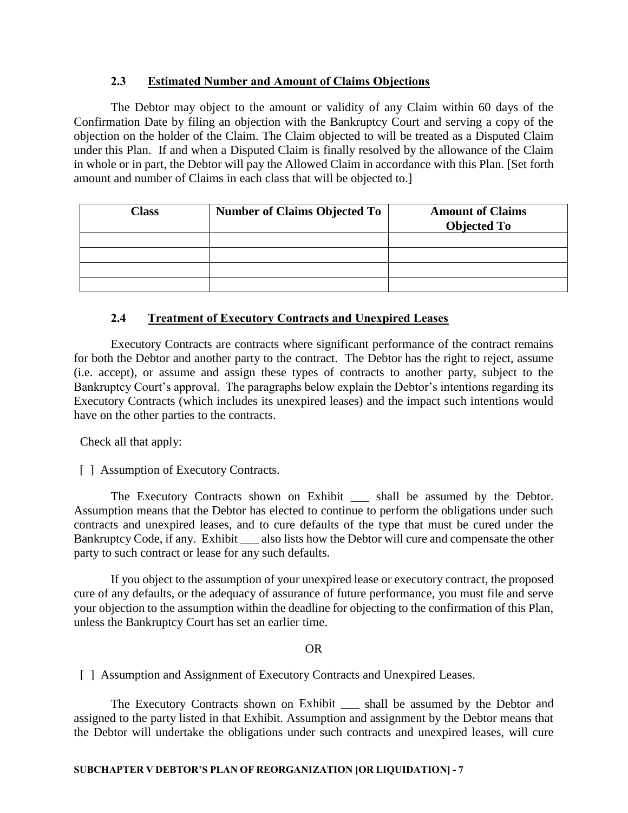### **2.3 Estimated Number and Amount of Claims Objections**

The Debtor may object to the amount or validity of any Claim within 60 days of the Confirmation Date by filing an objection with the Bankruptcy Court and serving a copy of the objection on the holder of the Claim. The Claim objected to will be treated as a Disputed Claim under this Plan. If and when a Disputed Claim is finally resolved by the allowance of the Claim in whole or in part, the Debtor will pay the Allowed Claim in accordance with this Plan. [Set forth amount and number of Claims in each class that will be objected to.]

| <b>Class</b> | <b>Number of Claims Objected To</b> | <b>Amount of Claims</b><br><b>Objected To</b> |
|--------------|-------------------------------------|-----------------------------------------------|
|              |                                     |                                               |
|              |                                     |                                               |
|              |                                     |                                               |
|              |                                     |                                               |

### **2.4 Treatment of Executory Contracts and Unexpired Leases**

Executory Contracts are contracts where significant performance of the contract remains for both the Debtor and another party to the contract. The Debtor has the right to reject, assume (i.e. accept), or assume and assign these types of contracts to another party, subject to the Bankruptcy Court's approval. The paragraphs below explain the Debtor's intentions regarding its Executory Contracts (which includes its unexpired leases) and the impact such intentions would have on the other parties to the contracts.

Check all that apply:

[ ] Assumption of Executory Contracts.

The Executory Contracts shown on Exhibit \_\_\_ shall be assumed by the Debtor. Assumption means that the Debtor has elected to continue to perform the obligations under such contracts and unexpired leases, and to cure defaults of the type that must be cured under the Bankruptcy Code, if any. Exhibit \_\_\_ also lists how the Debtor will cure and compensate the other party to such contract or lease for any such defaults.

If you object to the assumption of your unexpired lease or executory contract, the proposed cure of any defaults, or the adequacy of assurance of future performance, you must file and serve your objection to the assumption within the deadline for objecting to the confirmation of this Plan, unless the Bankruptcy Court has set an earlier time.

#### OR

[] Assumption and Assignment of Executory Contracts and Unexpired Leases.

The Executory Contracts shown on Exhibit \_\_\_ shall be assumed by the Debtor and assigned to the party listed in that Exhibit. Assumption and assignment by the Debtor means that the Debtor will undertake the obligations under such contracts and unexpired leases, will cure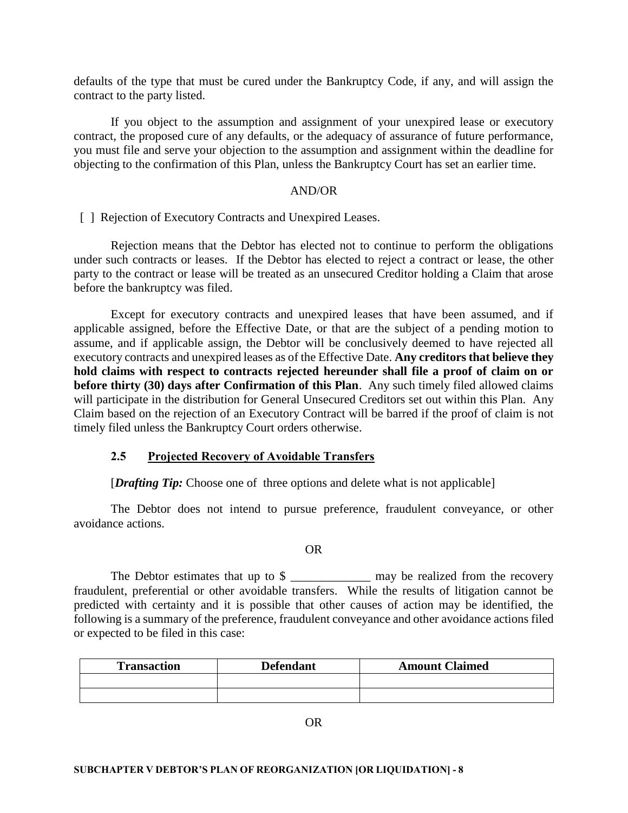defaults of the type that must be cured under the Bankruptcy Code, if any, and will assign the contract to the party listed.

If you object to the assumption and assignment of your unexpired lease or executory contract, the proposed cure of any defaults, or the adequacy of assurance of future performance, you must file and serve your objection to the assumption and assignment within the deadline for objecting to the confirmation of this Plan, unless the Bankruptcy Court has set an earlier time.

#### AND/OR

[] Rejection of Executory Contracts and Unexpired Leases.

Rejection means that the Debtor has elected not to continue to perform the obligations under such contracts or leases. If the Debtor has elected to reject a contract or lease, the other party to the contract or lease will be treated as an unsecured Creditor holding a Claim that arose before the bankruptcy was filed.

Except for executory contracts and unexpired leases that have been assumed, and if applicable assigned, before the Effective Date, or that are the subject of a pending motion to assume, and if applicable assign, the Debtor will be conclusively deemed to have rejected all executory contracts and unexpired leases as of the Effective Date. **Any creditors that believe they hold claims with respect to contracts rejected hereunder shall file a proof of claim on or before thirty (30) days after Confirmation of this Plan**. Any such timely filed allowed claims will participate in the distribution for General Unsecured Creditors set out within this Plan. Any Claim based on the rejection of an Executory Contract will be barred if the proof of claim is not timely filed unless the Bankruptcy Court orders otherwise.

#### **2.5 Projected Recovery of Avoidable Transfers**

[*Drafting Tip:* Choose one of three options and delete what is not applicable]

The Debtor does not intend to pursue preference, fraudulent conveyance, or other avoidance actions.

#### OR

The Debtor estimates that up to \$ \_\_\_\_\_\_\_\_\_\_\_\_\_\_ may be realized from the recovery fraudulent, preferential or other avoidable transfers. While the results of litigation cannot be predicted with certainty and it is possible that other causes of action may be identified, the following is a summary of the preference, fraudulent conveyance and other avoidance actions filed or expected to be filed in this case:

| <b>Transaction</b> | <b>Defendant</b> | <b>Amount Claimed</b> |
|--------------------|------------------|-----------------------|
|                    |                  |                       |
|                    |                  |                       |

OR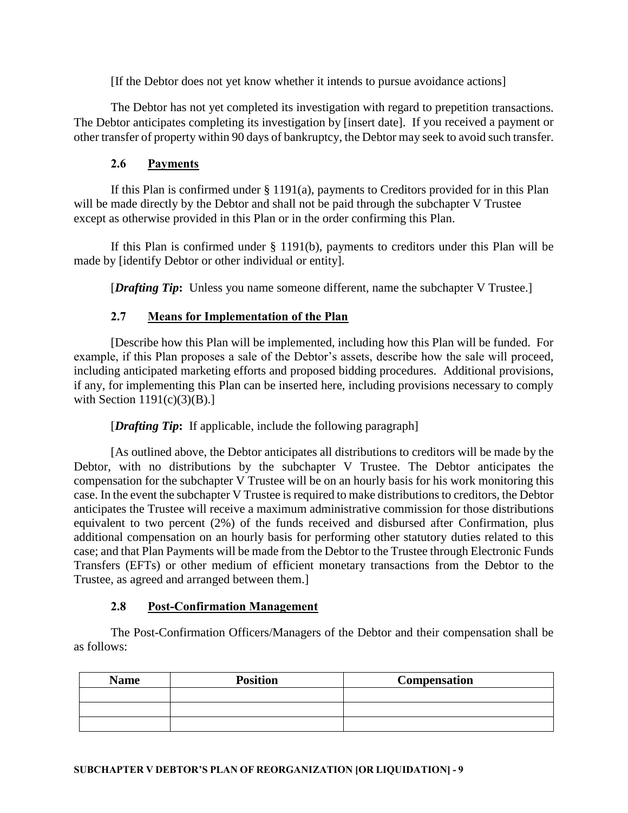[If the Debtor does not yet know whether it intends to pursue avoidance actions]

The Debtor has not yet completed its investigation with regard to prepetition transactions. The Debtor anticipates completing its investigation by [insert date]. If you received a payment or other transfer of property within 90 days of bankruptcy, the Debtor may seek to avoid such transfer.

### **2.6 Payments**

If this Plan is confirmed under  $\S 1191(a)$ , payments to Creditors provided for in this Plan will be made directly by the Debtor and shall not be paid through the subchapter V Trustee except as otherwise provided in this Plan or in the order confirming this Plan.

If this Plan is confirmed under § 1191(b), payments to creditors under this Plan will be made by [identify Debtor or other individual or entity].

[*Drafting Tip***:** Unless you name someone different, name the subchapter V Trustee.]

## **2.7 Means for Implementation of the Plan**

[Describe how this Plan will be implemented, including how this Plan will be funded. For example, if this Plan proposes a sale of the Debtor's assets, describe how the sale will proceed, including anticipated marketing efforts and proposed bidding procedures. Additional provisions, if any, for implementing this Plan can be inserted here, including provisions necessary to comply with Section  $1191(c)(3)(B)$ .

### [*Drafting Tip***:** If applicable, include the following paragraph]

[As outlined above, the Debtor anticipates all distributions to creditors will be made by the Debtor, with no distributions by the subchapter V Trustee. The Debtor anticipates the compensation for the subchapter V Trustee will be on an hourly basis for his work monitoring this case. In the event the subchapter V Trustee is required to make distributions to creditors, the Debtor anticipates the Trustee will receive a maximum administrative commission for those distributions equivalent to two percent (2%) of the funds received and disbursed after Confirmation, plus additional compensation on an hourly basis for performing other statutory duties related to this case; and that Plan Payments will be made from the Debtor to the Trustee through Electronic Funds Transfers (EFTs) or other medium of efficient monetary transactions from the Debtor to the Trustee, as agreed and arranged between them.]

### **2.8 Post-Confirmation Management**

The Post-Confirmation Officers/Managers of the Debtor and their compensation shall be as follows:

| <b>Name</b> | <b>Position</b> | Compensation |
|-------------|-----------------|--------------|
|             |                 |              |
|             |                 |              |
|             |                 |              |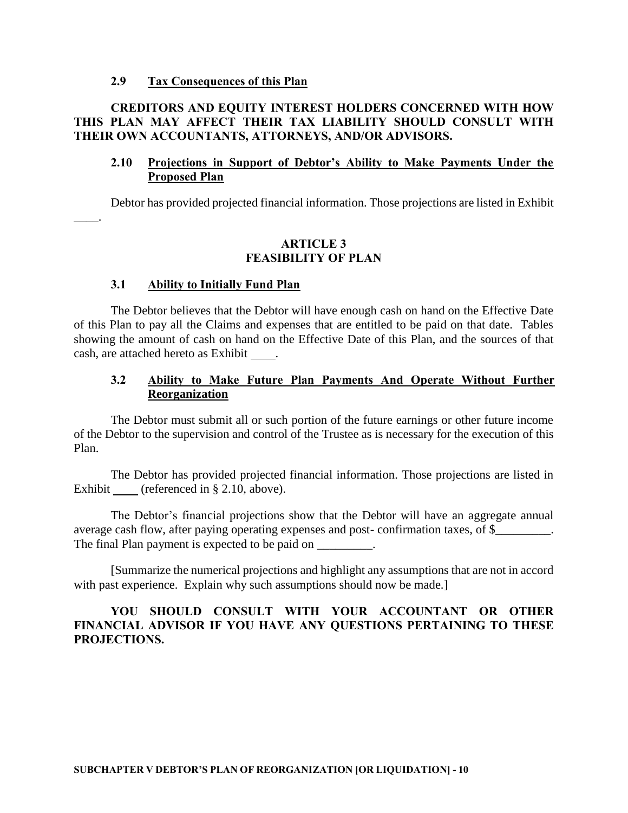#### **2.9 Tax Consequences of this Plan**

### **CREDITORS AND EQUITY INTEREST HOLDERS CONCERNED WITH HOW THIS PLAN MAY AFFECT THEIR TAX LIABILITY SHOULD CONSULT WITH THEIR OWN ACCOUNTANTS, ATTORNEYS, AND/OR ADVISORS.**

#### **2.10 Projections in Support of Debtor's Ability to Make Payments Under the Proposed Plan**

Debtor has provided projected financial information. Those projections are listed in Exhibit

### \_\_\_\_.

### **ARTICLE 3 FEASIBILITY OF PLAN**

#### **3.1 Ability to Initially Fund Plan**

The Debtor believes that the Debtor will have enough cash on hand on the Effective Date of this Plan to pay all the Claims and expenses that are entitled to be paid on that date. Tables showing the amount of cash on hand on the Effective Date of this Plan, and the sources of that cash, are attached hereto as Exhibit .

#### **3.2 Ability to Make Future Plan Payments And Operate Without Further Reorganization**

The Debtor must submit all or such portion of the future earnings or other future income of the Debtor to the supervision and control of the Trustee as is necessary for the execution of this Plan.

The Debtor has provided projected financial information. Those projections are listed in Exhibit (referenced in § 2.10, above).

The Debtor's financial projections show that the Debtor will have an aggregate annual average cash flow, after paying operating expenses and post- confirmation taxes, of \$\_\_\_\_\_\_\_\_\_. The final Plan payment is expected to be paid on  $\blacksquare$ 

[Summarize the numerical projections and highlight any assumptions that are not in accord with past experience. Explain why such assumptions should now be made.]

### **YOU SHOULD CONSULT WITH YOUR ACCOUNTANT OR OTHER FINANCIAL ADVISOR IF YOU HAVE ANY QUESTIONS PERTAINING TO THESE PROJECTIONS.**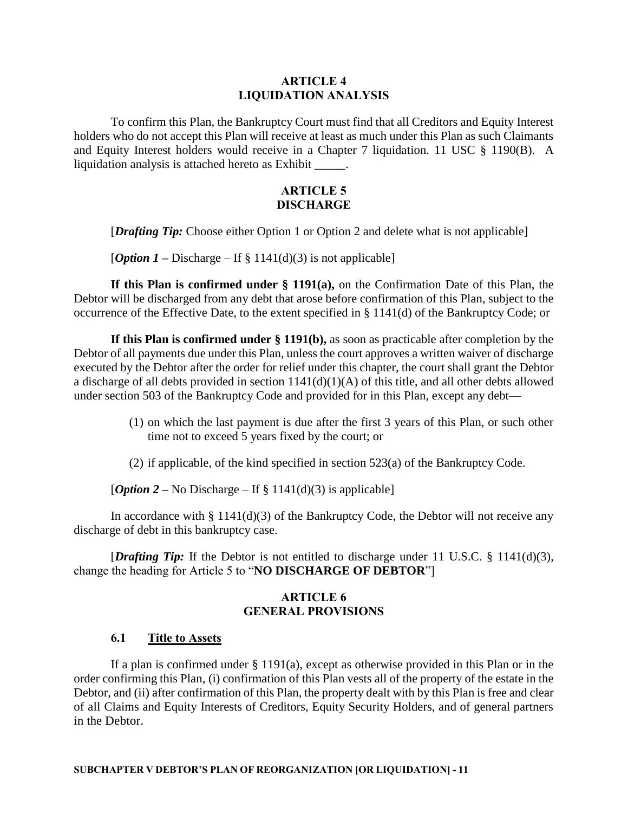#### **ARTICLE 4 LIQUIDATION ANALYSIS**

To confirm this Plan, the Bankruptcy Court must find that all Creditors and Equity Interest holders who do not accept this Plan will receive at least as much under this Plan as such Claimants and Equity Interest holders would receive in a Chapter 7 liquidation. 11 USC § 1190(B). A liquidation analysis is attached hereto as Exhibit \_\_\_\_\_.

#### **ARTICLE 5 DISCHARGE**

[*Drafting Tip:* Choose either Option 1 or Option 2 and delete what is not applicable]

[*Option 1* – Discharge – If  $\S 1141(d)(3)$  is not applicable]

**If this Plan is confirmed under § 1191(a),** on the Confirmation Date of this Plan, the Debtor will be discharged from any debt that arose before confirmation of this Plan, subject to the occurrence of the Effective Date, to the extent specified in § 1141(d) of the Bankruptcy Code; or

**If this Plan is confirmed under § 1191(b),** as soon as practicable after completion by the Debtor of all payments due under this Plan, unless the court approves a written waiver of discharge executed by the Debtor after the order for relief under this chapter, the court shall grant the Debtor a discharge of all debts provided in section 1141(d)(1)(A) of this title, and all other debts allowed under section 503 of the Bankruptcy Code and provided for in this Plan, except any debt—

- (1) on which the last payment is due after the first 3 years of this Plan, or such other time not to exceed 5 years fixed by the court; or
- (2) if applicable, of the kind specified in section 523(a) of the Bankruptcy Code.

[*Option 2* – No Discharge – If § 1141(d)(3) is applicable]

In accordance with  $\S 1141(d)(3)$  of the Bankruptcy Code, the Debtor will not receive any discharge of debt in this bankruptcy case.

[*Drafting Tip:* If the Debtor is not entitled to discharge under 11 U.S.C. § 1141(d)(3), change the heading for Article 5 to "**NO DISCHARGE OF DEBTOR**"]

#### **ARTICLE 6 GENERAL PROVISIONS**

#### **6.1 Title to Assets**

If a plan is confirmed under § 1191(a), except as otherwise provided in this Plan or in the order confirming this Plan, (i) confirmation of this Plan vests all of the property of the estate in the Debtor, and (ii) after confirmation of this Plan, the property dealt with by this Plan is free and clear of all Claims and Equity Interests of Creditors, Equity Security Holders, and of general partners in the Debtor.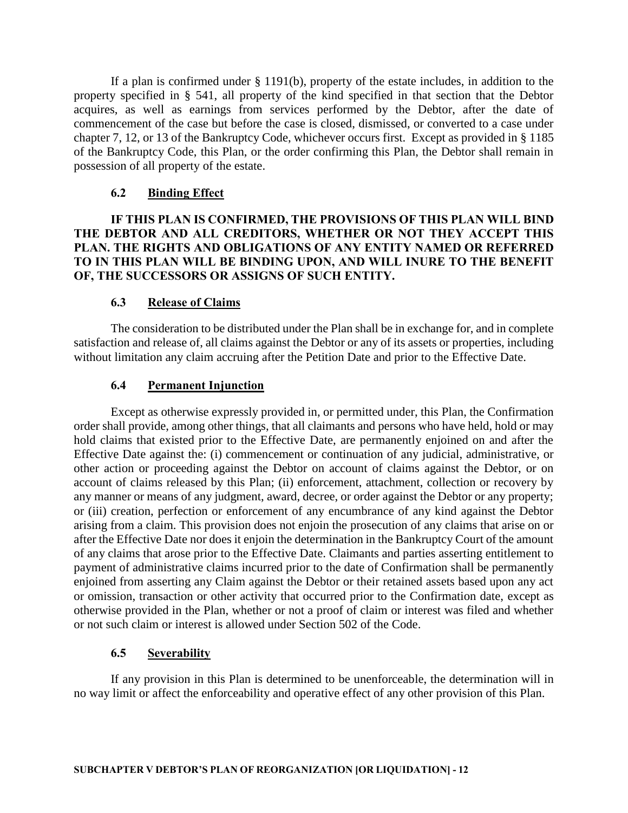If a plan is confirmed under § 1191(b), property of the estate includes, in addition to the property specified in § 541, all property of the kind specified in that section that the Debtor acquires, as well as earnings from services performed by the Debtor, after the date of commencement of the case but before the case is closed, dismissed, or converted to a case under chapter 7, 12, or 13 of the Bankruptcy Code, whichever occurs first. Except as provided in § 1185 of the Bankruptcy Code, this Plan, or the order confirming this Plan, the Debtor shall remain in possession of all property of the estate.

#### **6.2 Binding Effect**

**IF THIS PLAN IS CONFIRMED, THE PROVISIONS OF THIS PLAN WILL BIND THE DEBTOR AND ALL CREDITORS, WHETHER OR NOT THEY ACCEPT THIS PLAN. THE RIGHTS AND OBLIGATIONS OF ANY ENTITY NAMED OR REFERRED TO IN THIS PLAN WILL BE BINDING UPON, AND WILL INURE TO THE BENEFIT OF, THE SUCCESSORS OR ASSIGNS OF SUCH ENTITY.**

#### **6.3 Release of Claims**

The consideration to be distributed under the Plan shall be in exchange for, and in complete satisfaction and release of, all claims against the Debtor or any of its assets or properties, including without limitation any claim accruing after the Petition Date and prior to the Effective Date.

#### **6.4 Permanent Injunction**

Except as otherwise expressly provided in, or permitted under, this Plan, the Confirmation order shall provide, among other things, that all claimants and persons who have held, hold or may hold claims that existed prior to the Effective Date, are permanently enjoined on and after the Effective Date against the: (i) commencement or continuation of any judicial, administrative, or other action or proceeding against the Debtor on account of claims against the Debtor, or on account of claims released by this Plan; (ii) enforcement, attachment, collection or recovery by any manner or means of any judgment, award, decree, or order against the Debtor or any property; or (iii) creation, perfection or enforcement of any encumbrance of any kind against the Debtor arising from a claim. This provision does not enjoin the prosecution of any claims that arise on or after the Effective Date nor does it enjoin the determination in the Bankruptcy Court of the amount of any claims that arose prior to the Effective Date. Claimants and parties asserting entitlement to payment of administrative claims incurred prior to the date of Confirmation shall be permanently enjoined from asserting any Claim against the Debtor or their retained assets based upon any act or omission, transaction or other activity that occurred prior to the Confirmation date, except as otherwise provided in the Plan, whether or not a proof of claim or interest was filed and whether or not such claim or interest is allowed under Section 502 of the Code.

#### **6.5 Severability**

If any provision in this Plan is determined to be unenforceable, the determination will in no way limit or affect the enforceability and operative effect of any other provision of this Plan.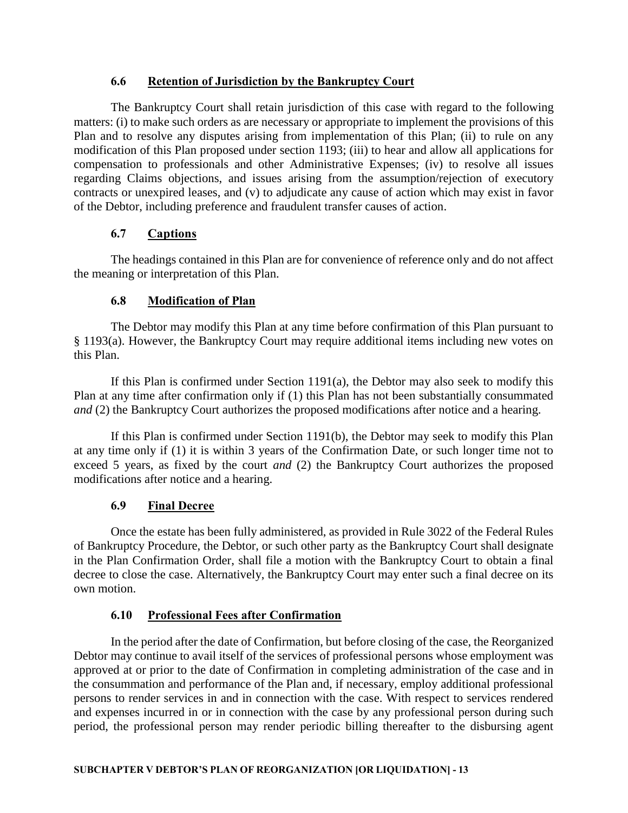### **6.6 Retention of Jurisdiction by the Bankruptcy Court**

The Bankruptcy Court shall retain jurisdiction of this case with regard to the following matters: (i) to make such orders as are necessary or appropriate to implement the provisions of this Plan and to resolve any disputes arising from implementation of this Plan; (ii) to rule on any modification of this Plan proposed under section 1193; (iii) to hear and allow all applications for compensation to professionals and other Administrative Expenses; (iv) to resolve all issues regarding Claims objections, and issues arising from the assumption/rejection of executory contracts or unexpired leases, and (v) to adjudicate any cause of action which may exist in favor of the Debtor, including preference and fraudulent transfer causes of action.

### **6.7 Captions**

The headings contained in this Plan are for convenience of reference only and do not affect the meaning or interpretation of this Plan.

### **6.8 Modification of Plan**

The Debtor may modify this Plan at any time before confirmation of this Plan pursuant to § 1193(a). However, the Bankruptcy Court may require additional items including new votes on this Plan.

If this Plan is confirmed under Section 1191(a), the Debtor may also seek to modify this Plan at any time after confirmation only if (1) this Plan has not been substantially consummated *and* (2) the Bankruptcy Court authorizes the proposed modifications after notice and a hearing.

If this Plan is confirmed under Section 1191(b), the Debtor may seek to modify this Plan at any time only if (1) it is within 3 years of the Confirmation Date, or such longer time not to exceed 5 years, as fixed by the court *and* (2) the Bankruptcy Court authorizes the proposed modifications after notice and a hearing.

### **6.9 Final Decree**

Once the estate has been fully administered, as provided in Rule 3022 of the Federal Rules of Bankruptcy Procedure, the Debtor, or such other party as the Bankruptcy Court shall designate in the Plan Confirmation Order, shall file a motion with the Bankruptcy Court to obtain a final decree to close the case. Alternatively, the Bankruptcy Court may enter such a final decree on its own motion.

### **6.10 Professional Fees after Confirmation**

In the period after the date of Confirmation, but before closing of the case, the Reorganized Debtor may continue to avail itself of the services of professional persons whose employment was approved at or prior to the date of Confirmation in completing administration of the case and in the consummation and performance of the Plan and, if necessary, employ additional professional persons to render services in and in connection with the case. With respect to services rendered and expenses incurred in or in connection with the case by any professional person during such period, the professional person may render periodic billing thereafter to the disbursing agent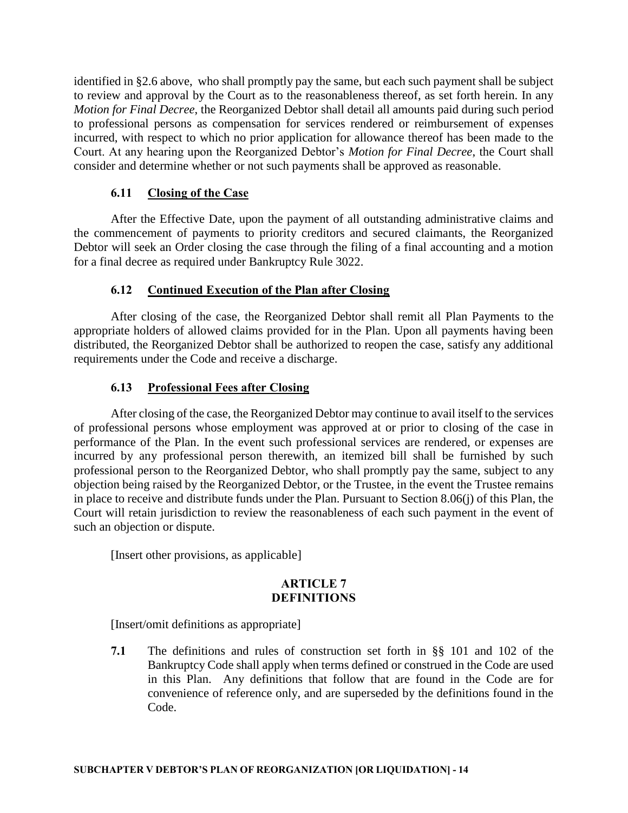identified in §2.6 above, who shall promptly pay the same, but each such payment shall be subject to review and approval by the Court as to the reasonableness thereof, as set forth herein. In any *Motion for Final Decree*, the Reorganized Debtor shall detail all amounts paid during such period to professional persons as compensation for services rendered or reimbursement of expenses incurred, with respect to which no prior application for allowance thereof has been made to the Court. At any hearing upon the Reorganized Debtor's *Motion for Final Decree*, the Court shall consider and determine whether or not such payments shall be approved as reasonable.

### **6.11 Closing of the Case**

After the Effective Date, upon the payment of all outstanding administrative claims and the commencement of payments to priority creditors and secured claimants, the Reorganized Debtor will seek an Order closing the case through the filing of a final accounting and a motion for a final decree as required under Bankruptcy Rule 3022.

## **6.12 Continued Execution of the Plan after Closing**

After closing of the case, the Reorganized Debtor shall remit all Plan Payments to the appropriate holders of allowed claims provided for in the Plan. Upon all payments having been distributed, the Reorganized Debtor shall be authorized to reopen the case, satisfy any additional requirements under the Code and receive a discharge.

### **6.13 Professional Fees after Closing**

After closing of the case, the Reorganized Debtor may continue to avail itself to the services of professional persons whose employment was approved at or prior to closing of the case in performance of the Plan. In the event such professional services are rendered, or expenses are incurred by any professional person therewith, an itemized bill shall be furnished by such professional person to the Reorganized Debtor, who shall promptly pay the same, subject to any objection being raised by the Reorganized Debtor, or the Trustee, in the event the Trustee remains in place to receive and distribute funds under the Plan. Pursuant to Section 8.06(j) of this Plan, the Court will retain jurisdiction to review the reasonableness of each such payment in the event of such an objection or dispute.

[Insert other provisions, as applicable]

### **ARTICLE 7 DEFINITIONS**

[Insert/omit definitions as appropriate]

**7.1** The definitions and rules of construction set forth in §§ 101 and 102 of the Bankruptcy Code shall apply when terms defined or construed in the Code are used in this Plan. Any definitions that follow that are found in the Code are for convenience of reference only, and are superseded by the definitions found in the Code.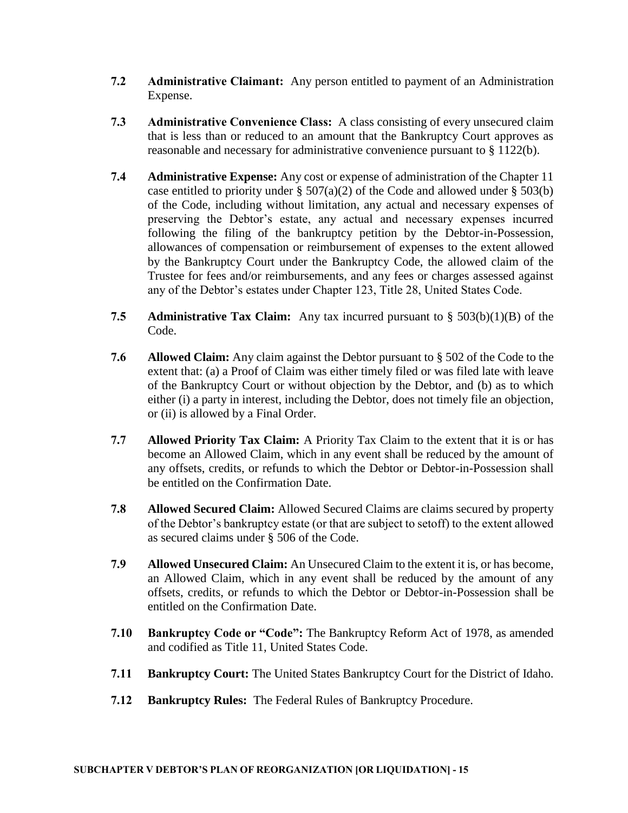- **7.2 Administrative Claimant:** Any person entitled to payment of an Administration Expense.
- **7.3 Administrative Convenience Class:** A class consisting of every unsecured claim that is less than or reduced to an amount that the Bankruptcy Court approves as reasonable and necessary for administrative convenience pursuant to § 1122(b).
- **7.4 Administrative Expense:** Any cost or expense of administration of the Chapter 11 case entitled to priority under  $\S 507(a)(2)$  of the Code and allowed under  $\S 503(b)$ of the Code, including without limitation, any actual and necessary expenses of preserving the Debtor's estate, any actual and necessary expenses incurred following the filing of the bankruptcy petition by the Debtor-in-Possession, allowances of compensation or reimbursement of expenses to the extent allowed by the Bankruptcy Court under the Bankruptcy Code, the allowed claim of the Trustee for fees and/or reimbursements, and any fees or charges assessed against any of the Debtor's estates under Chapter 123, Title 28, United States Code.
- **7.5 Administrative Tax Claim:** Any tax incurred pursuant to § 503(b)(1)(B) of the Code.
- **7.6 Allowed Claim:** Any claim against the Debtor pursuant to § 502 of the Code to the extent that: (a) a Proof of Claim was either timely filed or was filed late with leave of the Bankruptcy Court or without objection by the Debtor, and (b) as to which either (i) a party in interest, including the Debtor, does not timely file an objection, or (ii) is allowed by a Final Order.
- **7.7 Allowed Priority Tax Claim:** A Priority Tax Claim to the extent that it is or has become an Allowed Claim, which in any event shall be reduced by the amount of any offsets, credits, or refunds to which the Debtor or Debtor-in-Possession shall be entitled on the Confirmation Date.
- **7.8 Allowed Secured Claim:** Allowed Secured Claims are claims secured by property of the Debtor's bankruptcy estate (or that are subject to setoff) to the extent allowed as secured claims under § 506 of the Code.
- **7.9 Allowed Unsecured Claim:** An Unsecured Claim to the extent it is, or has become, an Allowed Claim, which in any event shall be reduced by the amount of any offsets, credits, or refunds to which the Debtor or Debtor-in-Possession shall be entitled on the Confirmation Date.
- **7.10 Bankruptcy Code or "Code":** The Bankruptcy Reform Act of 1978, as amended and codified as Title 11, United States Code.
- **7.11 Bankruptcy Court:** The United States Bankruptcy Court for the District of Idaho.
- **7.12 Bankruptcy Rules:** The Federal Rules of Bankruptcy Procedure.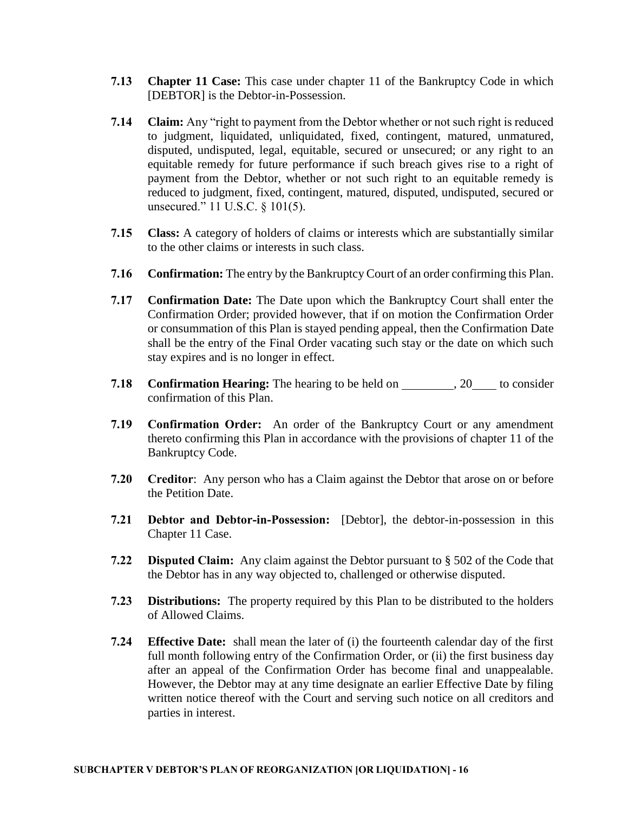- **7.13 Chapter 11 Case:** This case under chapter 11 of the Bankruptcy Code in which [DEBTOR] is the Debtor-in-Possession.
- **7.14 Claim:** Any "right to payment from the Debtor whether or not such right is reduced to judgment, liquidated, unliquidated, fixed, contingent, matured, unmatured, disputed, undisputed, legal, equitable, secured or unsecured; or any right to an equitable remedy for future performance if such breach gives rise to a right of payment from the Debtor, whether or not such right to an equitable remedy is reduced to judgment, fixed, contingent, matured, disputed, undisputed, secured or unsecured." 11 U.S.C. § 101(5).
- **7.15 Class:** A category of holders of claims or interests which are substantially similar to the other claims or interests in such class.
- **7.16 Confirmation:** The entry by the Bankruptcy Court of an order confirming this Plan.
- **7.17 Confirmation Date:** The Date upon which the Bankruptcy Court shall enter the Confirmation Order; provided however, that if on motion the Confirmation Order or consummation of this Plan is stayed pending appeal, then the Confirmation Date shall be the entry of the Final Order vacating such stay or the date on which such stay expires and is no longer in effect.
- **7.18 Confirmation Hearing:** The hearing to be held on \_\_\_\_\_\_\_\_\_\_, 20\_\_\_\_\_ to consider confirmation of this Plan.
- **7.19 Confirmation Order:** An order of the Bankruptcy Court or any amendment thereto confirming this Plan in accordance with the provisions of chapter 11 of the Bankruptcy Code.
- **7.20 Creditor**: Any person who has a Claim against the Debtor that arose on or before the Petition Date.
- **7.21 Debtor and Debtor-in-Possession:** [Debtor], the debtor-in-possession in this Chapter 11 Case.
- **7.22 Disputed Claim:** Any claim against the Debtor pursuant to § 502 of the Code that the Debtor has in any way objected to, challenged or otherwise disputed.
- **7.23 Distributions:** The property required by this Plan to be distributed to the holders of Allowed Claims.
- **7.24 Effective Date:** shall mean the later of (i) the fourteenth calendar day of the first full month following entry of the Confirmation Order, or (ii) the first business day after an appeal of the Confirmation Order has become final and unappealable. However, the Debtor may at any time designate an earlier Effective Date by filing written notice thereof with the Court and serving such notice on all creditors and parties in interest.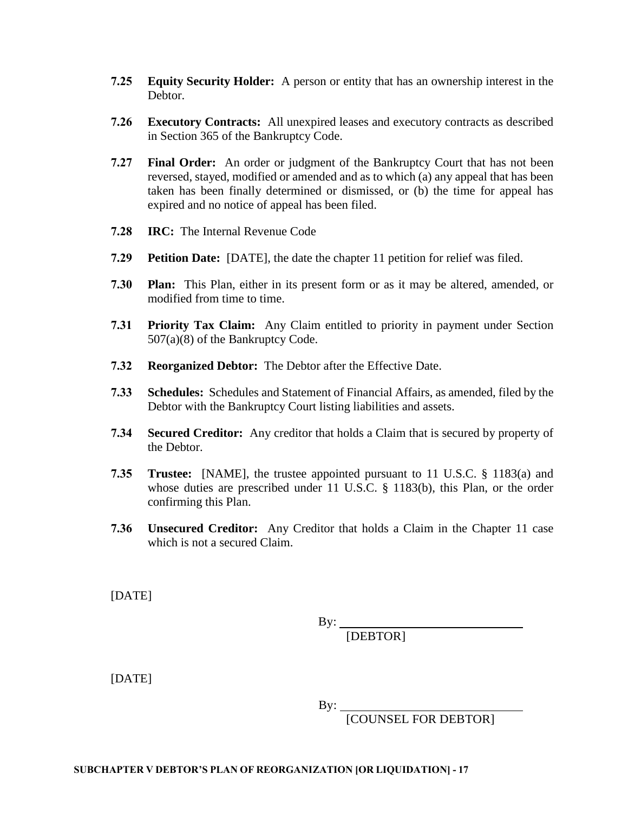- **7.25 Equity Security Holder:** A person or entity that has an ownership interest in the Debtor.
- **7.26 Executory Contracts:** All unexpired leases and executory contracts as described in Section 365 of the Bankruptcy Code.
- **7.27 Final Order:** An order or judgment of the Bankruptcy Court that has not been reversed, stayed, modified or amended and as to which (a) any appeal that has been taken has been finally determined or dismissed, or (b) the time for appeal has expired and no notice of appeal has been filed.
- **7.28 IRC:** The Internal Revenue Code
- **7.29 Petition Date:** [DATE], the date the chapter 11 petition for relief was filed.
- **7.30 Plan:** This Plan, either in its present form or as it may be altered, amended, or modified from time to time.
- **7.31 Priority Tax Claim:** Any Claim entitled to priority in payment under Section 507(a)(8) of the Bankruptcy Code.
- **7.32 Reorganized Debtor:** The Debtor after the Effective Date.
- **7.33 Schedules:** Schedules and Statement of Financial Affairs, as amended, filed by the Debtor with the Bankruptcy Court listing liabilities and assets.
- **7.34 Secured Creditor:** Any creditor that holds a Claim that is secured by property of the Debtor.
- **7.35 Trustee:** [NAME], the trustee appointed pursuant to 11 U.S.C. § 1183(a) and whose duties are prescribed under 11 U.S.C. § 1183(b), this Plan, or the order confirming this Plan.
- **7.36 Unsecured Creditor:** Any Creditor that holds a Claim in the Chapter 11 case which is not a secured Claim.

[DATE]

By:

[DEBTOR]

[DATE]

By:

[COUNSEL FOR DEBTOR]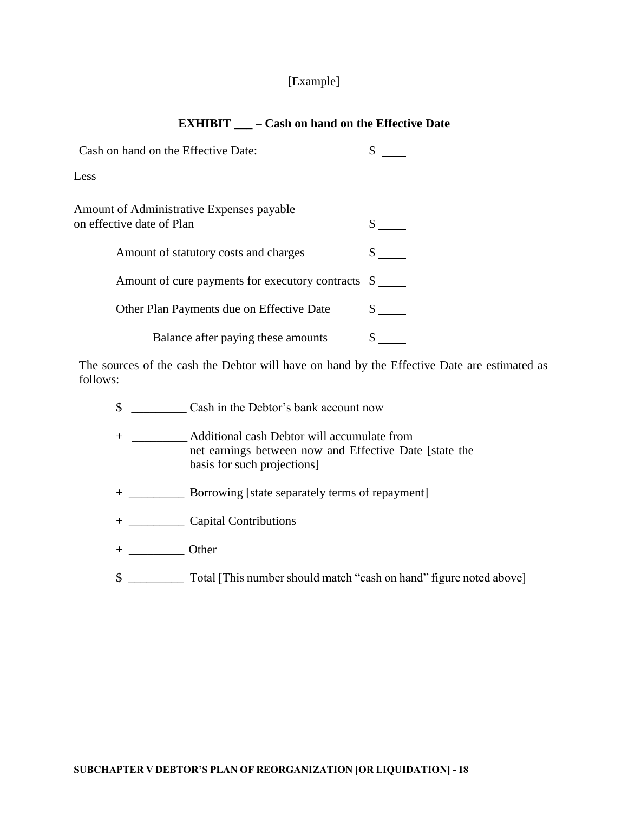## [Example]

### **EXHIBIT \_\_\_ – Cash on hand on the Effective Date**

| Cash on hand on the Effective Date:                                    |  |
|------------------------------------------------------------------------|--|
| $\text{Less} -$                                                        |  |
| Amount of Administrative Expenses payable<br>on effective date of Plan |  |
| Amount of statutory costs and charges                                  |  |
| Amount of cure payments for executory contracts \$                     |  |
| Other Plan Payments due on Effective Date                              |  |
| Balance after paying these amounts                                     |  |

The sources of the cash the Debtor will have on hand by the Effective Date are estimated as follows:

- \$ \_\_\_\_\_\_\_\_\_ Cash in the Debtor's bank account now
- + \_\_\_\_\_\_\_\_\_ Additional cash Debtor will accumulate from net earnings between now and Effective Date [state the basis for such projections]
- + \_\_\_\_\_\_\_\_\_ Borrowing [state separately terms of repayment]
- + \_\_\_\_\_\_\_\_\_ Capital Contributions
- + \_\_\_\_\_\_\_\_\_ Other
- \$ \_\_\_\_\_\_\_\_\_ Total [This number should match "cash on hand" figure noted above]